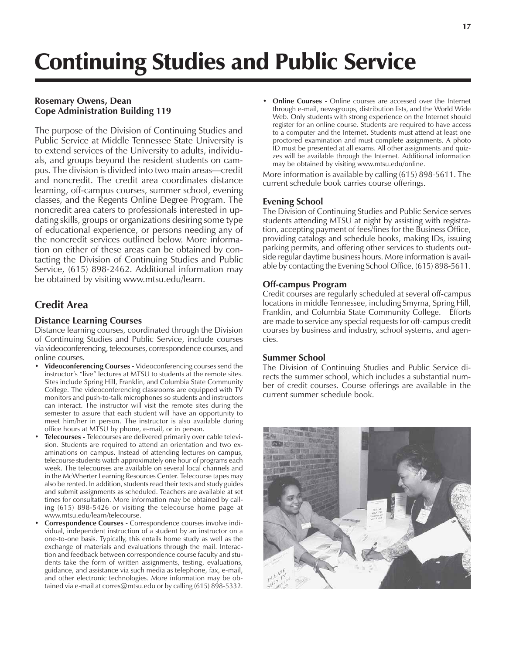# **Rosemary Owens, Dean Cope Administration Building 119**

The purpose of the Division of Continuing Studies and Public Service at Middle Tennessee State University is to extend services of the University to adults, individuals, and groups beyond the resident students on campus. The division is divided into two main areas—credit and noncredit. The credit area coordinates distance learning, off-campus courses, summer school, evening classes, and the Regents Online Degree Program. The noncredit area caters to professionals interested in updating skills, groups or organizations desiring some type of educational experience, or persons needing any of the noncredit services outlined below. More information on either of these areas can be obtained by contacting the Division of Continuing Studies and Public Service, (615) 898-2462. Additional information may be obtained by visiting www.mtsu.edu/learn.

# **Credit Area**

# **Distance Learning Courses**

Distance learning courses, coordinated through the Division of Continuing Studies and Public Service, include courses via videoconferencing, telecourses, correspondence courses, and online courses.

- **Videoconferencing Courses** Videoconferencing courses send the instructor's "live" lectures at MTSU to students at the remote sites. Sites include Spring Hill, Franklin, and Columbia State Community College. The videoconferencing classrooms are equipped with TV monitors and push-to-talk microphones so students and instructors can interact. The instructor will visit the remote sites during the semester to assure that each student will have an opportunity to meet him/her in person. The instructor is also available during office hours at MTSU by phone, e-mail, or in person.
- **Telecourses** Telecourses are delivered primarily over cable television. Students are required to attend an orientation and two examinations on campus. Instead of attending lectures on campus, telecourse students watch approximately one hour of programs each week. The telecourses are available on several local channels and in the McWherter Learning Resources Center. Telecourse tapes may also be rented. In addition, students read their texts and study guides and submit assignments as scheduled. Teachers are available at set times for consultation. More information may be obtained by calling (615) 898-5426 or visiting the telecourse home page at www.mtsu.edu/learn/telecourse.
- **Correspondence Courses** Correspondence courses involve individual, independent instruction of a student by an instructor on a one-to-one basis. Typically, this entails home study as well as the exchange of materials and evaluations through the mail. Interaction and feedback between correspondence course faculty and students take the form of written assignments, testing, evaluations, guidance, and assistance via such media as telephone, fax, e-mail, and other electronic technologies. More information may be obtained via e-mail at corres@mtsu.edu or by calling (615) 898-5332.

**Online Courses -** Online courses are accessed over the Internet through e-mail, newsgroups, distribution lists, and the World Wide Web. Only students with strong experience on the Internet should register for an online course. Students are required to have access to a computer and the Internet. Students must attend at least one proctored examination and must complete assignments. A photo ID must be presented at all exams. All other assignments and quizzes will be available through the Internet. Additional information may be obtained by visiting www.mtsu.edu/online.

More information is available by calling (615) 898-5611. The current schedule book carries course offerings.

#### **Evening School**

The Division of Continuing Studies and Public Service serves students attending MTSU at night by assisting with registration, accepting payment of fees/fines for the Business Office, providing catalogs and schedule books, making IDs, issuing parking permits, and offering other services to students outside regular daytime business hours. More information is available by contacting the Evening School Office, (615) 898-5611.

#### **Off-campus Program**

Credit courses are regularly scheduled at several off-campus locations in middle Tennessee, including Smyrna, Spring Hill, Franklin, and Columbia State Community College. Efforts are made to service any special requests for off-campus credit courses by business and industry, school systems, and agencies.

#### **Summer School**

The Division of Continuing Studies and Public Service directs the summer school, which includes a substantial number of credit courses. Course offerings are available in the current summer schedule book.